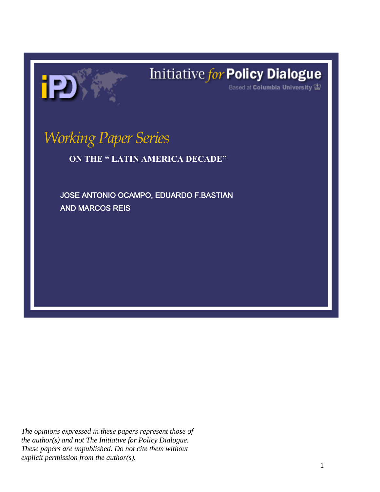

# Initiative for Policy Dialogue

Based at Columbia University (b)

*Working Paper Series*

**ON THE " LATIN AMERICA DECADE"**

JOSE ANTONIO OCAMPO, EDUARDO F.BASTIAN AND MARCOS REIS

*The opinions expressed in these papers represent those of the author(s) and not The Initiative for Policy Dialogue. These papers are unpublished. Do not cite them without explicit permission from the author(s).*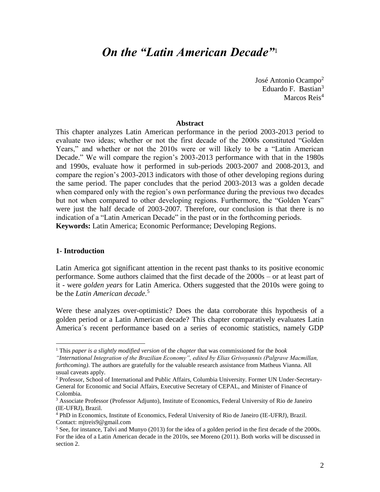# *On the "Latin American Decade"*<sup>1</sup>

José Antonio Ocampo<sup>2</sup> Eduardo F. Bastian<sup>3</sup> Marcos  $\text{Reis}^4$ 

#### **Abstract**

This chapter analyzes Latin American performance in the period 2003-2013 period to evaluate two ideas; whether or not the first decade of the 2000s constituted "Golden Years," and whether or not the 2010s were or will likely to be a "Latin American Decade." We will compare the region's 2003-2013 performance with that in the 1980s and 1990s, evaluate how it performed in sub-periods 2003-2007 and 2008-2013, and compare the region's 2003-2013 indicators with those of other developing regions during the same period. The paper concludes that the period 2003-2013 was a golden decade when compared only with the region's own performance during the previous two decades but not when compared to other developing regions. Furthermore, the "Golden Years" were just the half decade of 2003-2007. Therefore, our conclusion is that there is no indication of a "Latin American Decade" in the past or in the forthcoming periods. **Keywords:** Latin America; Economic Performance; Developing Regions.

#### **1- Introduction**

 $\overline{a}$ 

Latin America got significant attention in the recent past thanks to its positive economic performance. Some authors claimed that the first decade of the 2000s – or at least part of it - were *golden years* for Latin America. Others suggested that the 2010s were going to be the *Latin American decade.* 5

Were these analyzes over-optimistic? Does the data corroborate this hypothesis of a golden period or a Latin American decade? This chapter comparatively evaluates Latin America´s recent performance based on a series of economic statistics, namely GDP

<sup>1</sup> This *paper is a slightly modified version* of the *chapter* that was commissioned for the *book*

*<sup>&</sup>quot;International Integration of the Brazilian Economy", edited by Elias Grivoyannis (Palgrave Macmillan, forthcoming)*. The authors are gratefully for the valuable research assistance from Matheus Vianna. All usual caveats apply.

<sup>2</sup> Professor, School of International and Public Affairs, Columbia University. Former UN Under-Secretary-General for Economic and Social Affairs, Executive Secretary of CEPAL, and Minister of Finance of Colombia.

<sup>3</sup> Associate Professor (Professor Adjunto), Institute of Economics, Federal University of Rio de Janeiro (IE-UFRJ), Brazil.

<sup>4</sup> PhD in Economics, Institute of Economics, Federal University of Rio de Janeiro (IE-UFRJ), Brazil. Contact: mjtreis9@gmail.com

<sup>&</sup>lt;sup>5</sup> See, for instance, Talvi and Munyo (2013) for the idea of a golden period in the first decade of the 2000s. For the idea of a Latin American decade in the 2010s, see Moreno (2011). Both works will be discussed in section 2.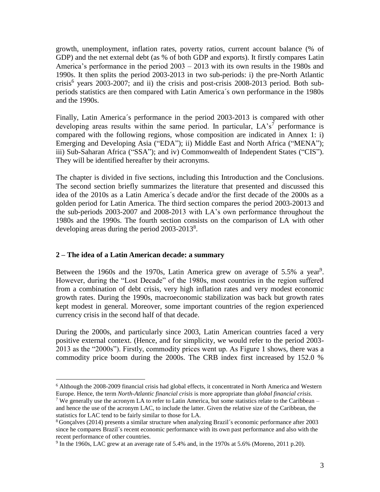growth, unemployment, inflation rates, poverty ratios, current account balance (% of GDP) and the net external debt (as % of both GDP and exports). It firstly compares Latin America's performance in the period 2003 – 2013 with its own results in the 1980s and 1990s. It then splits the period 2003-2013 in two sub-periods: i) the pre-North Atlantic crisis<sup>6</sup> years 2003-2007; and ii) the crisis and post-crisis 2008-2013 period. Both subperiods statistics are then compared with Latin America´s own performance in the 1980s and the 1990s.

Finally, Latin America´s performance in the period 2003-2013 is compared with other developing areas results within the same period. In particular,  $LA's<sup>7</sup>$  performance is compared with the following regions, whose composition are indicated in Annex 1: i) Emerging and Developing Asia ("EDA"); ii) Middle East and North Africa ("MENA"); iii) Sub-Saharan Africa ("SSA"); and iv) Commonwealth of Independent States ("CIS"). They will be identified hereafter by their acronyms.

The chapter is divided in five sections, including this Introduction and the Conclusions. The second section briefly summarizes the literature that presented and discussed this idea of the 2010s as a Latin America´s decade and/or the first decade of the 2000s as a golden period for Latin America. The third section compares the period 2003-20013 and the sub-periods 2003-2007 and 2008-2013 with LA's own performance throughout the 1980s and the 1990s. The fourth section consists on the comparison of LA with other developing areas during the period 2003-2013<sup>8</sup>.

# **2 – The idea of a Latin American decade: a summary**

 $\overline{a}$ 

Between the 1960s and the 1970s, Latin America grew on average of 5.5% a year<sup>9</sup>. However, during the "Lost Decade" of the 1980s, most countries in the region suffered from a combination of debt crisis, very high inflation rates and very modest economic growth rates. During the 1990s, macroeconomic stabilization was back but growth rates kept modest in general. Moreover, some important countries of the region experienced currency crisis in the second half of that decade.

During the 2000s, and particularly since 2003, Latin American countries faced a very positive external context. (Hence, and for simplicity, we would refer to the period 2003- 2013 as the "2000s"). Firstly, commodity prices went up. As Figure 1 shows, there was a commodity price boom during the 2000s. The CRB index first increased by 152.0 %

<sup>&</sup>lt;sup>6</sup> Although the 2008-2009 financial crisis had global effects, it concentrated in North America and Western Europe. Hence, the term *North-Atlantic financial crisis* is more appropriate than *global financial crisis*.

<sup>&</sup>lt;sup>7</sup> We generally use the acronym LA to refer to Latin America, but some statistics relate to the Caribbean – and hence the use of the acronym LAC, to include the latter. Given the relative size of the Caribbean, the statistics for LAC tend to be fairly similar to those for LA.

<sup>8</sup> Gonçalves (2014) presents a similar structure when analyzing Brazil´s economic performance after 2003 since he compares Brazil´s recent economic performance with its own past performance and also with the recent performance of other countries.

<sup>9</sup> In the 1960s, LAC grew at an average rate of 5.4% and, in the 1970s at 5.6% (Moreno, 2011 p.20).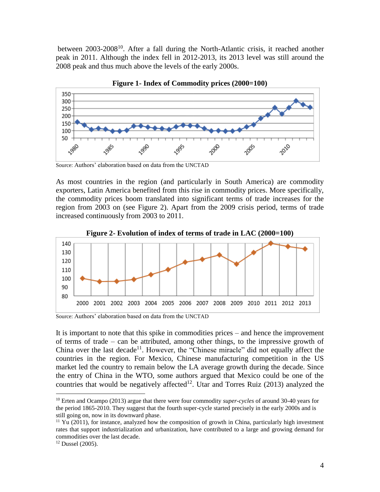between 2003-2008<sup>10</sup>. After a fall during the North-Atlantic crisis, it reached another peak in 2011. Although the index fell in 2012-2013, its 2013 level was still around the 2008 peak and thus much above the levels of the early 2000s.



**Figure 1- Index of Commodity prices (2000=100)**

Source: Authors' elaboration based on data from the UNCTAD

As most countries in the region (and particularly in South America) are commodity exporters, Latin America benefited from this rise in commodity prices. More specifically, the commodity prices boom translated into significant terms of trade increases for the region from 2003 on (see Figure 2). Apart from the 2009 crisis period, terms of trade increased continuously from 2003 to 2011.



**Figure 2- Evolution of index of terms of trade in LAC (2000=100)**

Source: Authors' elaboration based on data from the UNCTAD

It is important to note that this spike in commodities prices – and hence the improvement of terms of trade – can be attributed, among other things, to the impressive growth of China over the last decade<sup>11</sup>. However, the "Chinese miracle" did not equally affect the countries in the region. For Mexico, Chinese manufacturing competition in the US market led the country to remain below the LA average growth during the decade. Since the entry of China in the WTO, some authors argued that Mexico could be one of the countries that would be negatively affected<sup>12</sup>. Utar and Torres Ruiz  $(2013)$  analyzed the

 $\overline{a}$ 

<sup>10</sup> Erten and Ocampo (2013) argue that there were four commodity *super-cycles* of around 30-40 years for the period 1865-2010. They suggest that the fourth super-cycle started precisely in the early 2000s and is still going on, now in its downward phase.

 $11$  Yu (2011), for instance, analyzed how the composition of growth in China, particularly high investment rates that support industrialization and urbanization, have contributed to a large and growing demand for commodities over the last decade.

 $12$  Dussel (2005).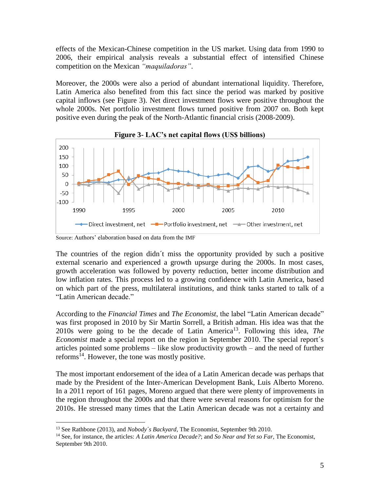effects of the Mexican-Chinese competition in the US market. Using data from 1990 to 2006, their empirical analysis reveals a substantial effect of intensified Chinese competition on the Mexican *"maquiladoras"*.

Moreover, the 2000s were also a period of abundant international liquidity. Therefore, Latin America also benefited from this fact since the period was marked by positive capital inflows (see Figure 3). Net direct investment flows were positive throughout the whole 2000s. Net portfolio investment flows turned positive from 2007 on. Both kept positive even during the peak of the North-Atlantic financial crisis (2008-2009).



**Figure 3- LAC's net capital flows (US\$ billions)**

 $\overline{a}$ 

The countries of the region didn´t miss the opportunity provided by such a positive external scenario and experienced a growth upsurge during the 2000s. In most cases, growth acceleration was followed by poverty reduction, better income distribution and low inflation rates. This process led to a growing confidence with Latin America, based on which part of the press, multilateral institutions, and think tanks started to talk of a "Latin American decade."

According to the *Financial Times* and *The Economist*, the label "Latin American decade" was first proposed in 2010 by Sir Martin Sorrell, a British adman. His idea was that the 2010s were going to be the decade of Latin America<sup>13</sup>. Following this idea, *The Economist* made a special report on the region in September 2010. The special report´s articles pointed some problems – like slow productivity growth – and the need of further reforms<sup>14</sup>. However, the tone was mostly positive.

The most important endorsement of the idea of a Latin American decade was perhaps that made by the President of the Inter-American Development Bank, Luis Alberto Moreno. In a 2011 report of 161 pages, Moreno argued that there were plenty of improvements in the region throughout the 2000s and that there were several reasons for optimism for the 2010s. He stressed many times that the Latin American decade was not a certainty and

Source: Authors' elaboration based on data from the IMF

<sup>13</sup> See Rathbone (2013), and *Nobody´s Backyard*, The Economist, September 9th 2010.

<sup>14</sup> See, for instance, the articles: *A Latin America Decade?*; and *So Near and Yet so Far,* The Economist, September 9th 2010.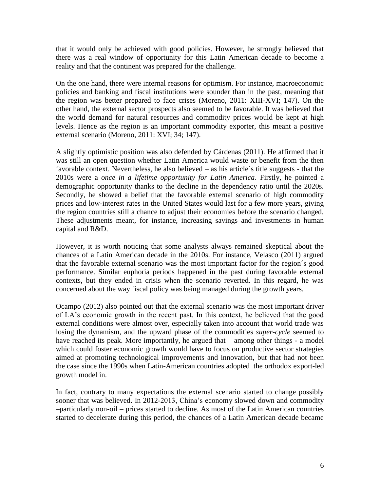that it would only be achieved with good policies. However, he strongly believed that there was a real window of opportunity for this Latin American decade to become a reality and that the continent was prepared for the challenge.

On the one hand, there were internal reasons for optimism. For instance, macroeconomic policies and banking and fiscal institutions were sounder than in the past, meaning that the region was better prepared to face crises (Moreno, 2011: XIII-XVI; 147). On the other hand, the external sector prospects also seemed to be favorable. It was believed that the world demand for natural resources and commodity prices would be kept at high levels. Hence as the region is an important commodity exporter, this meant a positive external scenario (Moreno, 2011: XVI; 34; 147).

A slightly optimistic position was also defended by Cárdenas (2011). He affirmed that it was still an open question whether Latin America would waste or benefit from the then favorable context. Nevertheless, he also believed – as his article´s title suggests - that the 2010s were a *once in a lifetime opportunity for Latin America*. Firstly, he pointed a demographic opportunity thanks to the decline in the dependency ratio until the 2020s. Secondly, he showed a belief that the favorable external scenario of high commodity prices and low-interest rates in the United States would last for a few more years, giving the region countries still a chance to adjust their economies before the scenario changed. These adjustments meant, for instance, increasing savings and investments in human capital and R&D.

However, it is worth noticing that some analysts always remained skeptical about the chances of a Latin American decade in the 2010s. For instance, Velasco (2011) argued that the favorable external scenario was the most important factor for the region´s good performance. Similar euphoria periods happened in the past during favorable external contexts, but they ended in crisis when the scenario reverted. In this regard, he was concerned about the way fiscal policy was being managed during the growth years.

Ocampo (2012) also pointed out that the external scenario was the most important driver of LA's economic growth in the recent past. In this context, he believed that the good external conditions were almost over, especially taken into account that world trade was losing the dynamism, and the upward phase of the commodities *super-cycle* seemed to have reached its peak. More importantly, he argued that – among other things - a model which could foster economic growth would have to focus on productive sector strategies aimed at promoting technological improvements and innovation, but that had not been the case since the 1990s when Latin-American countries adopted the orthodox export-led growth model in.

In fact, contrary to many expectations the external scenario started to change possibly sooner that was believed. In 2012-2013, China's economy slowed down and commodity –particularly non-oil – prices started to decline. As most of the Latin American countries started to decelerate during this period, the chances of a Latin American decade became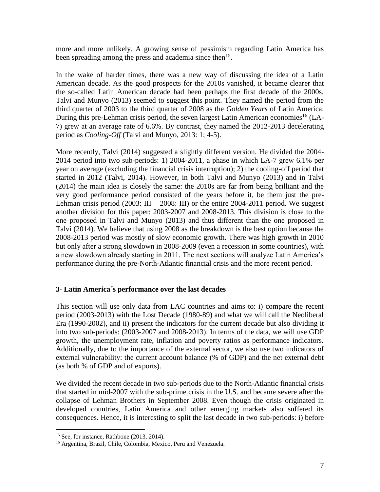more and more unlikely. A growing sense of pessimism regarding Latin America has been spreading among the press and academia since then<sup>15</sup>.

In the wake of harder times, there was a new way of discussing the idea of a Latin American decade. As the good prospects for the 2010s vanished, it became clearer that the so-called Latin American decade had been perhaps the first decade of the 2000s. Talvi and Munyo (2013) seemed to suggest this point. They named the period from the third quarter of 2003 to the third quarter of 2008 as the *Golden Years* of Latin America. During this pre-Lehman crisis period, the seven largest Latin American economies<sup>16</sup> (LA-7) grew at an average rate of 6.6%. By contrast, they named the 2012-2013 decelerating period as *Cooling-Off* (Talvi and Munyo, 2013: 1; 4-5).

More recently, Talvi (2014) suggested a slightly different version. He divided the 2004- 2014 period into two sub-periods: 1) 2004-2011, a phase in which LA-7 grew 6.1% per year on average (excluding the financial crisis interruption); 2) the cooling-off period that started in 2012 (Talvi, 2014). However, in both Talvi and Munyo (2013) and in Talvi (2014) the main idea is closely the same: the 2010s are far from being brilliant and the very good performance period consisted of the years before it, be them just the pre-Lehman crisis period (2003: III – 2008: III) or the entire 2004-2011 period. We suggest another division for this paper: 2003-2007 and 2008-2013. This division is close to the one proposed in Talvi and Munyo (2013) and thus different than the one proposed in Talvi (2014). We believe that using 2008 as the breakdown is the best option because the 2008-2013 period was mostly of slow economic growth. There was high growth in 2010 but only after a strong slowdown in 2008-2009 (even a recession in some countries), with a new slowdown already starting in 2011. The next sections will analyze Latin America's performance during the pre-North-Atlantic financial crisis and the more recent period.

# **3- Latin America´s performance over the last decades**

This section will use only data from LAC countries and aims to: i) compare the recent period (2003-2013) with the Lost Decade (1980-89) and what we will call the Neoliberal Era (1990-2002), and ii) present the indicators for the current decade but also dividing it into two sub-periods: (2003-2007 and 2008-2013). In terms of the data, we will use GDP growth, the unemployment rate, inflation and poverty ratios as performance indicators. Additionally, due to the importance of the external sector, we also use two indicators of external vulnerability: the current account balance (% of GDP) and the net external debt (as both % of GDP and of exports).

We divided the recent decade in two sub-periods due to the North-Atlantic financial crisis that started in mid-2007 with the sub-prime crisis in the U.S. and became severe after the collapse of Lehman Brothers in September 2008. Even though the crisis originated in developed countries, Latin America and other emerging markets also suffered its consequences. Hence, it is interesting to split the last decade in two sub-periods: i) before

 $\overline{a}$ 

 $15$  See, for instance, Rathbone (2013, 2014).

<sup>16</sup> Argentina, Brazil, Chile, Colombia, Mexico, Peru and Venezuela.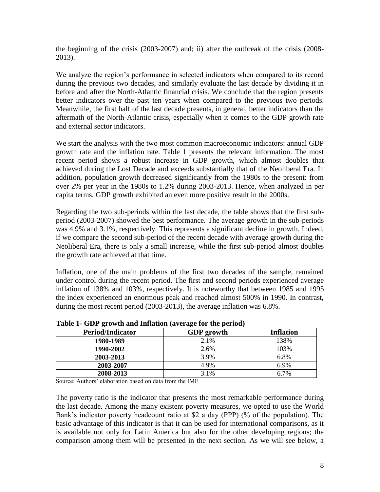the beginning of the crisis (2003-2007) and; ii) after the outbreak of the crisis (2008- 2013).

We analyze the region's performance in selected indicators when compared to its record during the previous two decades, and similarly evaluate the last decade by dividing it in before and after the North-Atlantic financial crisis. We conclude that the region presents better indicators over the past ten years when compared to the previous two periods. Meanwhile, the first half of the last decade presents, in general, better indicators than the aftermath of the North-Atlantic crisis, especially when it comes to the GDP growth rate and external sector indicators.

We start the analysis with the two most common macroeconomic indicators: annual GDP growth rate and the inflation rate. Table 1 presents the relevant information. The most recent period shows a robust increase in GDP growth, which almost doubles that achieved during the Lost Decade and exceeds substantially that of the Neoliberal Era*.* In addition, population growth decreased significantly from the 1980s to the present: from over 2% per year in the 1980s to 1.2% during 2003-2013. Hence, when analyzed in per capita terms, GDP growth exhibited an even more positive result in the 2000s.

Regarding the two sub-periods within the last decade, the table shows that the first subperiod (2003-2007) showed the best performance. The average growth in the sub-periods was 4.9% and 3.1%, respectively. This represents a significant decline in growth. Indeed, if we compare the second sub-period of the recent decade with average growth during the Neoliberal Era*,* there is only a small increase, while the first sub-period almost doubles the growth rate achieved at that time.

Inflation, one of the main problems of the first two decades of the sample, remained under control during the recent period. The first and second periods experienced average inflation of 138% and 103%, respectively. It is noteworthy that between 1985 and 1995 the index experienced an enormous peak and reached almost 500% in 1990. In contrast, during the most recent period (2003-2013), the average inflation was 6.8%.

| Table 1 ODT growth and imidition (average for the period) |                   |                  |  |
|-----------------------------------------------------------|-------------------|------------------|--|
| <b>Period/Indicator</b>                                   | <b>GDP</b> growth | <b>Inflation</b> |  |
| 1980-1989                                                 | 2.1%              | 138%             |  |
| 1990-2002                                                 | 2.6%              | 103%             |  |
| 2003-2013                                                 | 3.9%              | 6.8%             |  |
| 2003-2007                                                 | 4.9%              | 6.9%             |  |
| 2008-2013                                                 | 3.1%              | 6.7%             |  |

**Table 1- GDP growth and Inflation (average for the period)**

Source: Authors' elaboration based on data from the IMF

The poverty ratio is the indicator that presents the most remarkable performance during the last decade. Among the many existent poverty measures, we opted to use the World Bank's indicator poverty headcount ratio at \$2 a day (PPP) (% of the population). The basic advantage of this indicator is that it can be used for international comparisons, as it is available not only for Latin America but also for the other developing regions; the comparison among them will be presented in the next section. As we will see below, a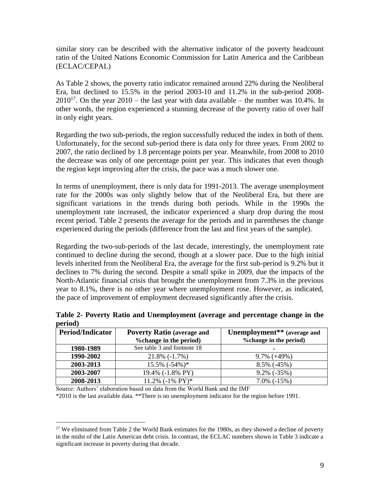similar story can be described with the alternative indicator of the poverty headcount ratio of the United Nations Economic Commission for Latin America and the Caribbean (ECLAC/CEPAL)

As Table 2 shows, the poverty ratio indicator remained around 22% during the Neoliberal Era, but declined to 15.5% in the period 2003-10 and 11.2% in the sub-period 2008-  $2010^{17}$ . On the year  $2010$  – the last year with data available – the number was 10.4%. In other words, the region experienced a stunning decrease of the poverty ratio of over half in only eight years.

Regarding the two sub-periods, the region successfully reduced the index in both of them. Unfortunately, for the second sub-period there is data only for three years. From 2002 to 2007, the ratio declined by 1.8 percentage points per year. Meanwhile, from 2008 to 2010 the decrease was only of one percentage point per year. This indicates that even though the region kept improving after the crisis, the pace was a much slower one.

In terms of unemployment, there is only data for 1991-2013. The average unemployment rate for the 2000s was only slightly below that of the Neoliberal Era, but there are significant variations in the trends during both periods. While in the 1990s the unemployment rate increased, the indicator experienced a sharp drop during the most recent period. Table 2 presents the average for the periods and in parentheses the change experienced during the periods (difference from the last and first years of the sample).

Regarding the two-sub-periods of the last decade, interestingly, the unemployment rate continued to decline during the second, though at a slower pace. Due to the high initial levels inherited from the Neoliberal Era, the average for the first sub-period is 9.2% but it declines to 7% during the second. Despite a small spike in 2009, due the impacts of the North-Atlantic financial crisis that brought the unemployment from 7.3% in the previous year to 8.1%, there is no other year where unemployment rose. However, as indicated, the pace of improvement of employment decreased significantly after the crisis.

| period)          |                                                                     |                                                                   |
|------------------|---------------------------------------------------------------------|-------------------------------------------------------------------|
| Period/Indicator | <b>Poverty Ratio (average and</b><br><b>%</b> change in the period) | Unemployment <sup>**</sup> (average and<br>%change in the period) |
| 1980-1989        | See table 3 and footnote 18                                         | -                                                                 |
| 1990-2002        | $21.8\%$ ( $-1.7\%$ )                                               | $9.7\%$ (+49%)                                                    |
| 2003-2013        | $15.5\%$ (-54%) <sup>*</sup>                                        | $8.5\%$ (-45%)                                                    |

**Table 2- Poverty Ratio and Unemployment (average and percentage change in the period)**

Source: Authors' elaboration based on data from the World Bank and the IMF

\*2010 is the last available data. \*\*There is no unemployment indicator for the region before 1991.

**2003-2007** 19.4% (-1.8% PY) 9.2% (-35%) **2008-2013** 11.2% (-1% PY)\* 7.0% (-15%)

 $\overline{a}$ <sup>17</sup> We eliminated from Table 2 the World Bank estimates for the 1980s, as they showed a decline of poverty in the midst of the Latin American debt crisis. In contrast, the ECLAC numbers shown in Table 3 indicate a significant increase in poverty during that decade.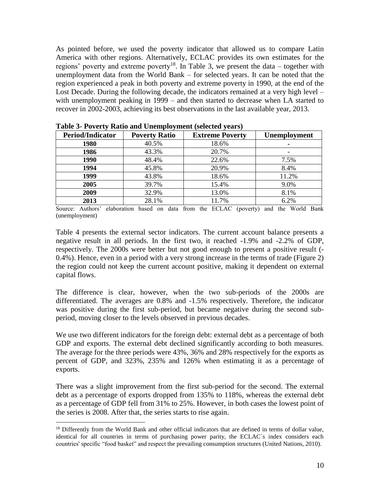As pointed before, we used the poverty indicator that allowed us to compare Latin America with other regions. Alternatively, ECLAC provides its own estimates for the regions' poverty and extreme poverty<sup>18</sup>. In Table 3, we present the data – together with unemployment data from the World Bank – for selected years. It can be noted that the region experienced a peak in both poverty and extreme poverty in 1990, at the end of the Lost Decade. During the following decade, the indicators remained at a very high level – with unemployment peaking in 1999 – and then started to decrease when LA started to recover in 2002-2003, achieving its best observations in the last available year, 2013.

| <b>Period/Indicator</b> | <b>Poverty Ratio</b> | <b>Extreme Poverty</b> | Unemployment |
|-------------------------|----------------------|------------------------|--------------|
| 1980                    | 40.5%                | 18.6%                  |              |
| 1986                    | 43.3%                | 20.7%                  |              |
| 1990                    | 48.4%                | 22.6%                  | 7.5%         |
| 1994                    | 45.8%                | 20.9%                  | 8.4%         |
| 1999                    | 43.8%                | 18.6%                  | 11.2%        |
| 2005                    | 39.7%                | 15.4%                  | 9.0%         |
| 2009                    | 32.9%                | 13.0%                  | 8.1%         |
| 2013                    | 28.1%                | 11.7%                  | 6.2%         |

**Table 3- Poverty Ratio and Unemployment (selected years)**

Source: Authors' elaboration based on data from the ECLAC (poverty) and the World Bank (unemployment)

Table 4 presents the external sector indicators. The current account balance presents a negative result in all periods. In the first two, it reached -1.9% and -2.2% of GDP, respectively. The 2000s were better but not good enough to present a positive result (- 0.4%). Hence, even in a period with a very strong increase in the terms of trade (Figure 2) the region could not keep the current account positive, making it dependent on external capital flows.

The difference is clear, however, when the two sub-periods of the 2000s are differentiated. The averages are 0.8% and -1.5% respectively. Therefore, the indicator was positive during the first sub-period, but became negative during the second subperiod, moving closer to the levels observed in previous decades.

We use two different indicators for the foreign debt: external debt as a percentage of both GDP and exports. The external debt declined significantly according to both measures. The average for the three periods were 43%, 36% and 28% respectively for the exports as percent of GDP, and 323%, 235% and 126% when estimating it as a percentage of exports.

There was a slight improvement from the first sub-period for the second. The external debt as a percentage of exports dropped from 135% to 118%, whereas the external debt as a percentage of GDP fell from 31% to 25%. However, in both cases the lowest point of the series is 2008. After that, the series starts to rise again.

 $\overline{a}$ <sup>18</sup> Differently from the World Bank and other official indicators that are defined in terms of dollar value, identical for all countries in terms of purchasing power parity, the ECLAC´s index considers each countries' specific "food basket" and respect the prevailing consumption structures (United Nations, 2010).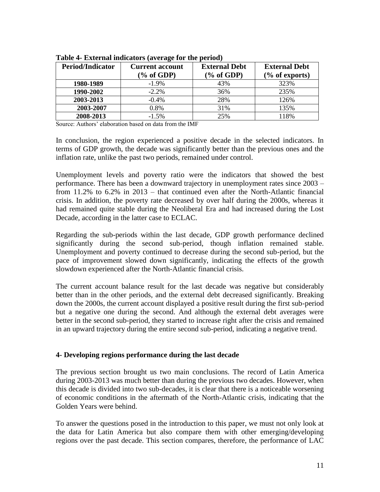| <b>Period/Indicator</b> | <b>Current account</b> | <b>External Debt</b>  | <b>External Debt</b> |
|-------------------------|------------------------|-----------------------|----------------------|
|                         | % of GDP               | $\frac{6}{6}$ of GDP) | $(\%$ of exports)    |
| 1980-1989               | $-1.9\%$               | 43%                   | 323%                 |
| 1990-2002               | $-2.2%$                | 36%                   | 235%                 |
| 2003-2013               | $-0.4%$                | 28%                   | 126%                 |
| 2003-2007               | $0.8\%$                | 31%                   | 135%                 |
| 2008-2013               | $-1.5%$                | 25%                   | 118%                 |

**Table 4- External indicators (average for the period)**

Source: Authors' elaboration based on data from the IMF

In conclusion, the region experienced a positive decade in the selected indicators. In terms of GDP growth, the decade was significantly better than the previous ones and the inflation rate, unlike the past two periods, remained under control.

Unemployment levels and poverty ratio were the indicators that showed the best performance. There has been a downward trajectory in unemployment rates since 2003 – from 11.2% to 6.2% in 2013 – that continued even after the North-Atlantic financial crisis. In addition, the poverty rate decreased by over half during the 2000s, whereas it had remained quite stable during the Neoliberal Era and had increased during the Lost Decade, according in the latter case to ECLAC.

Regarding the sub-periods within the last decade, GDP growth performance declined significantly during the second sub-period, though inflation remained stable. Unemployment and poverty continued to decrease during the second sub-period, but the pace of improvement slowed down significantly, indicating the effects of the growth slowdown experienced after the North-Atlantic financial crisis.

The current account balance result for the last decade was negative but considerably better than in the other periods, and the external debt decreased significantly. Breaking down the 2000s, the current account displayed a positive result during the first sub-period but a negative one during the second. And although the external debt averages were better in the second sub-period, they started to increase right after the crisis and remained in an upward trajectory during the entire second sub-period, indicating a negative trend.

# **4- Developing regions performance during the last decade**

The previous section brought us two main conclusions. The record of Latin America during 2003-2013 was much better than during the previous two decades. However, when this decade is divided into two sub-decades, it is clear that there is a noticeable worsening of economic conditions in the aftermath of the North-Atlantic crisis, indicating that the Golden Years were behind.

To answer the questions posed in the introduction to this paper, we must not only look at the data for Latin America but also compare them with other emerging/developing regions over the past decade. This section compares, therefore, the performance of LAC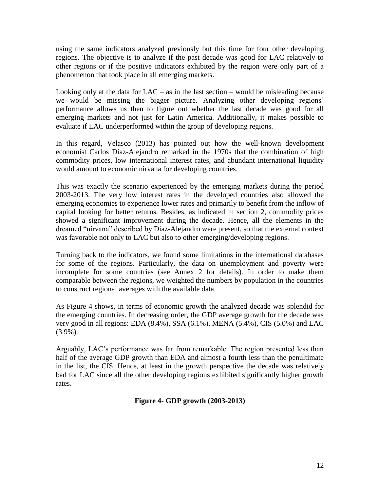using the same indicators analyzed previously but this time for four other developing regions. The objective is to analyze if the past decade was good for LAC relatively to other regions or if the positive indicators exhibited by the region were only part of a phenomenon that took place in all emerging markets.

Looking only at the data for  $LAC - as$  in the last section – would be misleading because we would be missing the bigger picture. Analyzing other developing regions' performance allows us then to figure out whether the last decade was good for all emerging markets and not just for Latin America. Additionally, it makes possible to evaluate if LAC underperformed within the group of developing regions.

In this regard, Velasco (2013) has pointed out how the well-known development economist Carlos Diaz-Alejandro remarked in the 1970s that the combination of high commodity prices, low international interest rates, and abundant international liquidity would amount to economic nirvana for developing countries.

This was exactly the scenario experienced by the emerging markets during the period 2003-2013. The very low interest rates in the developed countries also allowed the emerging economies to experience lower rates and primarily to benefit from the inflow of capital looking for better returns. Besides, as indicated in section 2, commodity prices showed a significant improvement during the decade. Hence, all the elements in the dreamed "nirvana" described by Diaz-Alejandro were present, so that the external context was favorable not only to LAC but also to other emerging/developing regions.

Turning back to the indicators, we found some limitations in the international databases for some of the regions. Particularly, the data on unemployment and poverty were incomplete for some countries (see Annex 2 for details). In order to make them comparable between the regions, we weighted the numbers by population in the countries to construct regional averages with the available data.

As Figure 4 shows, in terms of economic growth the analyzed decade was splendid for the emerging countries. In decreasing order, the GDP average growth for the decade was very good in all regions: EDA (8.4%), SSA (6.1%), MENA (5.4%), CIS (5.0%) and LAC  $(3.9\%)$ .

Arguably, LAC's performance was far from remarkable. The region presented less than half of the average GDP growth than EDA and almost a fourth less than the penultimate in the list, the CIS. Hence, at least in the growth perspective the decade was relatively bad for LAC since all the other developing regions exhibited significantly higher growth rates.

# **Figure 4- GDP growth (2003-2013)**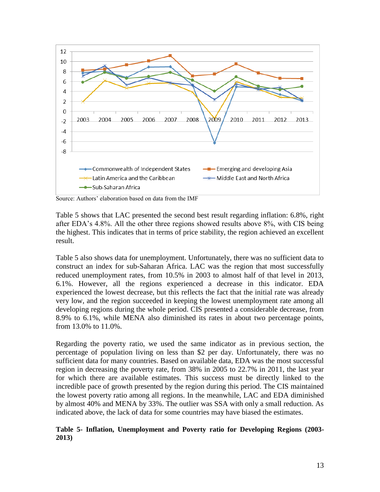

Source: Authors' elaboration based on data from the IMF

Table 5 shows that LAC presented the second best result regarding inflation: 6.8%, right after EDA's 4.8%. All the other three regions showed results above 8%, with CIS being the highest. This indicates that in terms of price stability, the region achieved an excellent result.

Table 5 also shows data for unemployment. Unfortunately, there was no sufficient data to construct an index for sub-Saharan Africa. LAC was the region that most successfully reduced unemployment rates, from 10.5% in 2003 to almost half of that level in 2013, 6.1%. However, all the regions experienced a decrease in this indicator. EDA experienced the lowest decrease, but this reflects the fact that the initial rate was already very low, and the region succeeded in keeping the lowest unemployment rate among all developing regions during the whole period. CIS presented a considerable decrease, from 8.9% to 6.1%, while MENA also diminished its rates in about two percentage points, from 13.0% to 11.0%.

Regarding the poverty ratio, we used the same indicator as in previous section, the percentage of population living on less than \$2 per day. Unfortunately, there was no sufficient data for many countries. Based on available data, EDA was the most successful region in decreasing the poverty rate, from 38% in 2005 to 22.7% in 2011, the last year for which there are available estimates. This success must be directly linked to the incredible pace of growth presented by the region during this period. The CIS maintained the lowest poverty ratio among all regions. In the meanwhile, LAC and EDA diminished by almost 40% and MENA by 33%. The outlier was SSA with only a small reduction. As indicated above, the lack of data for some countries may have biased the estimates.

# **Table 5- Inflation, Unemployment and Poverty ratio for Developing Regions (2003- 2013)**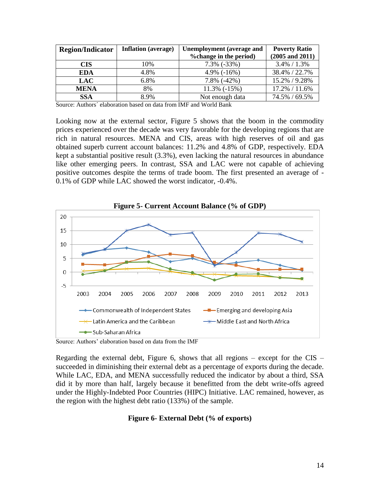| <b>Region/Indicator</b> | <b>Inflation</b> (average) | <b>Unemployment</b> (average and | <b>Poverty Ratio</b> |
|-------------------------|----------------------------|----------------------------------|----------------------|
|                         |                            | <b>%</b> change in the period)   | $(2005$ and $2011)$  |
| CIS                     | 10%                        | $7.3\%$ $(-33\%)$                | $3.4\% / 1.3\%$      |
| EDA                     | 4.8%                       | 4.9% $(-16%)$                    | 38.4% / 22.7%        |
| <b>LAC</b>              | 6.8%                       | $7.8\%$ $(-42\%)$                | 15.2% / 9.28%        |
| <b>MENA</b>             | 8%                         | $11.3\%$ ( $-15\%$ )             | 17.2% / 11.6%        |
| <b>SSA</b>              | 8.9%                       | Not enough data                  | 74.5% / 69.5%        |

Source: Authors´ elaboration based on data from IMF and World Bank

Looking now at the external sector, Figure 5 shows that the boom in the commodity prices experienced over the decade was very favorable for the developing regions that are rich in natural resources. MENA and CIS, areas with high reserves of oil and gas obtained superb current account balances: 11.2% and 4.8% of GDP, respectively. EDA kept a substantial positive result (3.3%), even lacking the natural resources in abundance like other emerging peers. In contrast, SSA and LAC were not capable of achieving positive outcomes despite the terms of trade boom. The first presented an average of - 0.1% of GDP while LAC showed the worst indicator, -0.4%.



Source: Authors' elaboration based on data from the IMF

Regarding the external debt, Figure 6, shows that all regions – except for the CIS – succeeded in diminishing their external debt as a percentage of exports during the decade. While LAC, EDA, and MENA successfully reduced the indicator by about a third, SSA did it by more than half, largely because it benefitted from the debt write-offs agreed under the Highly-Indebted Poor Countries (HIPC) Initiative. LAC remained, however, as the region with the highest debt ratio (133%) of the sample.

#### **Figure 6- External Debt (% of exports)**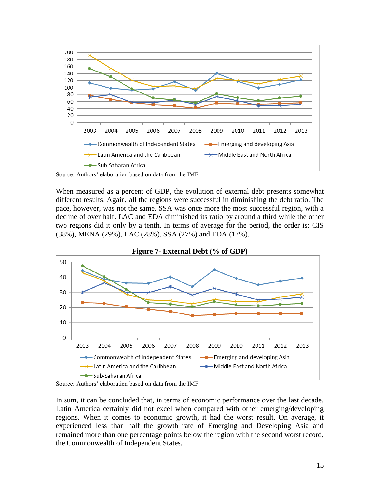

Source: Authors' elaboration based on data from the IMF

When measured as a percent of GDP, the evolution of external debt presents somewhat different results. Again, all the regions were successful in diminishing the debt ratio. The pace, however, was not the same. SSA was once more the most successful region, with a decline of over half. LAC and EDA diminished its ratio by around a third while the other two regions did it only by a tenth. In terms of average for the period, the order is: CIS (38%), MENA (29%), LAC (28%), SSA (27%) and EDA (17%).



Source: Authors' elaboration based on data from the IMF.

In sum, it can be concluded that, in terms of economic performance over the last decade, Latin America certainly did not excel when compared with other emerging/developing regions. When it comes to economic growth, it had the worst result. On average, it experienced less than half the growth rate of Emerging and Developing Asia and remained more than one percentage points below the region with the second worst record, the Commonwealth of Independent States.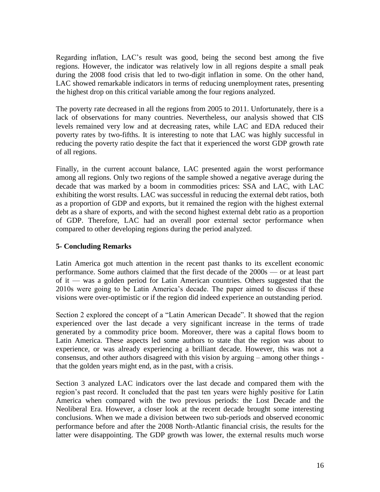Regarding inflation, LAC's result was good, being the second best among the five regions. However, the indicator was relatively low in all regions despite a small peak during the 2008 food crisis that led to two-digit inflation in some. On the other hand, LAC showed remarkable indicators in terms of reducing unemployment rates, presenting the highest drop on this critical variable among the four regions analyzed.

The poverty rate decreased in all the regions from 2005 to 2011. Unfortunately, there is a lack of observations for many countries. Nevertheless, our analysis showed that CIS levels remained very low and at decreasing rates, while LAC and EDA reduced their poverty rates by two-fifths. It is interesting to note that LAC was highly successful in reducing the poverty ratio despite the fact that it experienced the worst GDP growth rate of all regions.

Finally, in the current account balance, LAC presented again the worst performance among all regions. Only two regions of the sample showed a negative average during the decade that was marked by a boom in commodities prices: SSA and LAC, with LAC exhibiting the worst results. LAC was successful in reducing the external debt ratios, both as a proportion of GDP and exports, but it remained the region with the highest external debt as a share of exports, and with the second highest external debt ratio as a proportion of GDP. Therefore, LAC had an overall poor external sector performance when compared to other developing regions during the period analyzed.

# **5- Concluding Remarks**

Latin America got much attention in the recent past thanks to its excellent economic performance. Some authors claimed that the first decade of the 2000s — or at least part of it — was a golden period for Latin American countries. Others suggested that the 2010s were going to be Latin America's decade. The paper aimed to discuss if these visions were over-optimistic or if the region did indeed experience an outstanding period.

Section 2 explored the concept of a "Latin American Decade". It showed that the region experienced over the last decade a very significant increase in the terms of trade generated by a commodity price boom. Moreover, there was a capital flows boom to Latin America. These aspects led some authors to state that the region was about to experience, or was already experiencing a brilliant decade. However, this was not a consensus, and other authors disagreed with this vision by arguing – among other things that the golden years might end, as in the past, with a crisis.

Section 3 analyzed LAC indicators over the last decade and compared them with the region's past record. It concluded that the past ten years were highly positive for Latin America when compared with the two previous periods: the Lost Decade and the Neoliberal Era. However, a closer look at the recent decade brought some interesting conclusions. When we made a division between two sub-periods and observed economic performance before and after the 2008 North-Atlantic financial crisis, the results for the latter were disappointing. The GDP growth was lower, the external results much worse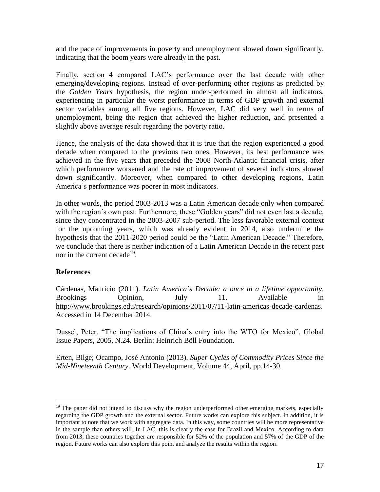and the pace of improvements in poverty and unemployment slowed down significantly, indicating that the boom years were already in the past.

Finally, section 4 compared LAC's performance over the last decade with other emerging/developing regions. Instead of over-performing other regions as predicted by the *Golden Years* hypothesis, the region under-performed in almost all indicators, experiencing in particular the worst performance in terms of GDP growth and external sector variables among all five regions. However, LAC did very well in terms of unemployment, being the region that achieved the higher reduction, and presented a slightly above average result regarding the poverty ratio.

Hence, the analysis of the data showed that it is true that the region experienced a good decade when compared to the previous two ones. However, its best performance was achieved in the five years that preceded the 2008 North-Atlantic financial crisis, after which performance worsened and the rate of improvement of several indicators slowed down significantly. Moreover, when compared to other developing regions, Latin America's performance was poorer in most indicators.

In other words, the period 2003-2013 was a Latin American decade only when compared with the region´s own past. Furthermore, these "Golden years" did not even last a decade, since they concentrated in the 2003-2007 sub-period. The less favorable external context for the upcoming years, which was already evident in 2014, also undermine the hypothesis that the 2011-2020 period could be the "Latin American Decade." Therefore, we conclude that there is neither indication of a Latin American Decade in the recent past nor in the current decade<sup>19</sup>.

# **References**

 $\overline{a}$ 

Cárdenas, Mauricio (2011). *Latin America´s Decade: a once in a lifetime opportunity.* Brookings Opinion, July 11. Available in [http://www.brookings.edu/research/opinions/2011/07/11-latin-americas-decade-cardenas.](http://www.brookings.edu/research/opinions/2011/07/11-latin-americas-decade-cardenas) Accessed in 14 December 2014.

Dussel, Peter. "The implications of China's entry into the WTO for Mexico", Global Issue Papers, 2005, N.24. Berlín: Heinrich Böll Foundation.

Erten, Bilge; Ocampo, José Antonio (2013). *Super Cycles of Commodity Prices Since the Mid-Nineteenth Century*. World Development, Volume 44, April, pp.14-30.

<sup>&</sup>lt;sup>19</sup> The paper did not intend to discuss why the region underperformed other emerging markets, especially regarding the GDP growth and the external sector. Future works can explore this subject. In addition, it is important to note that we work with aggregate data. In this way, some countries will be more representative in the sample than others will. In LAC, this is clearly the case for Brazil and Mexico. According to data from 2013, these countries together are responsible for 52% of the population and 57% of the GDP of the region. Future works can also explore this point and analyze the results within the region.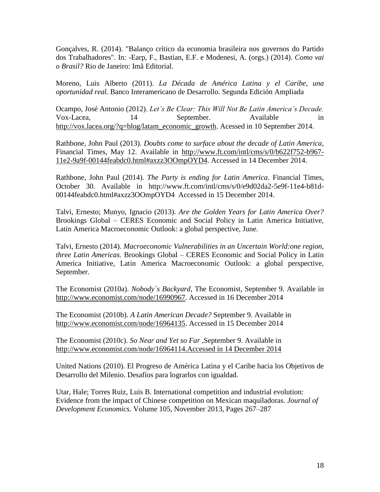Gonçalves, R. (2014). "Balanço crítico da economia brasileira nos governos do Partido dos Trabalhadores". In: -Earp, F., Bastian, E.F. e Modenesi, A. (orgs.) (2014). *Como vai o Brasil?* Rio de Janeiro: Imã Editorial.

Moreno, Luis Alberto (2011). *La Década de América Latina y el Caribe, una oportunidad real.* Banco Interamericano de Desarrollo. Segunda Edición Ampliada

Ocampo, José Antonio (2012). *Let's Be Clear: This Will Not Be Latin America's Decade.*  Vox-Lacea, 14 September. Available in [http://vox.lacea.org/?q=blog/latam\\_economic\\_growth.](http://vox.lacea.org/?q=blog/latam_economic_growth) Acessed in 10 September 2014.

Rathbone, John Paul (2013). *Doubts come to surface about the decade of Latin America*, Financial Times, May 12. Available in [http://www.ft.com/intl/cms/s/0/b622f752-b967-](http://www.ft.com/intl/cms/s/0/b622f752-b967-11e2-9a9f-00144feabdc0.html#axzz3OOmpOYD4) [11e2-9a9f-00144feabdc0.html#axzz3OOmpOYD4.](http://www.ft.com/intl/cms/s/0/b622f752-b967-11e2-9a9f-00144feabdc0.html#axzz3OOmpOYD4) Accessed in 14 December 2014.

Rathbone, John Paul (2014). *The Party is ending for Latin America*. Financial Times, October 30. Available in http://www.ft.com/intl/cms/s/0/e9d02da2-5e9f-11e4-b81d-00144feabdc0.html#axzz3OOmpOYD4 Accessed in 15 December 2014.

Talvi, Ernesto; Munyo, Ignacio (2013). *Are the Golden Years for Latin America Over?* Brookings Global – CERES Economic and Social Policy in Latin America Initiative, Latin America Macroeconomic Outlook: a global perspective, June.

Talvi, Ernesto (2014). *Macroeconomic Vulnerabilities in an Uncertain World:one region, three Latin Americas.* Brookings Global – CERES Economic and Social Policy in Latin America Initiative, Latin America Macroeconomic Outlook: a global perspective, September.

The Economist (2010a). *Nobody´s Backyard,* The Economist, September 9. Available in [http://www.economist.com/node/16990967.](http://www.economist.com/node/16990967) Accessed in 16 December 2014

The Economist (2010b). *A Latin American Decade?* September 9. Available in [http://www.economist.com/node/16964135.](http://www.economist.com/node/16964135) Accessed in 15 December 2014

The Economist (2010c). *So Near and Yet so Far* ,September 9. Available in [http://www.economist.com/node/16964114.Accessed in 14 December 2014](http://www.economist.com/node/16964114.Accessed%20in%2014%20December%202014)

United Nations (2010). El Progreso de América Latina y el Caribe hacia los Objetivos de Desarrollo del Milenio. Desafíos para lograrlos con igualdad.

[Utar,](http://www.sciencedirect.com/science/article/pii/S0304387813001193) Hale; Torres Ruiz, Luis B. International competition and industrial evolution: Evidence from the impact of Chinese competition on Mexican maquiladoras. *[Journal of](http://www.sciencedirect.com/science/journal/03043878)  [Development Economics.](http://www.sciencedirect.com/science/journal/03043878)* [Volume 105,](http://www.sciencedirect.com/science/journal/03043878/105/supp/C) November 2013, Pages 267–287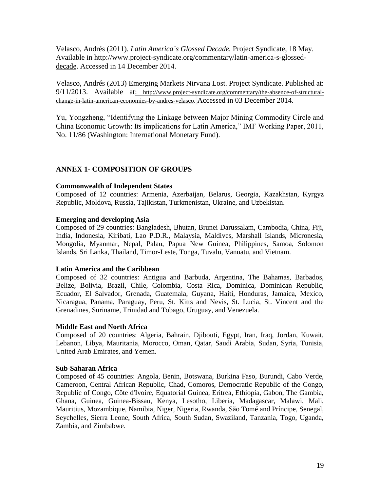Velasco, Andrés (2011). *Latin America´s Glossed Decade.* Project Syndicate, 18 May. Available in [http://www.project-syndicate.org/commentary/latin-america-s-glossed](http://www.project-syndicate.org/commentary/latin-america-s-glossed-decade)[decade.](http://www.project-syndicate.org/commentary/latin-america-s-glossed-decade) Accessed in 14 December 2014.

Velasco, Andrés (2013) Emerging Markets Nirvana Lost. Project Syndicate. Published at: 9/11/2013. Available at: [http://www.project-syndicate.org/commentary/the-absence-of-structural](http://www.project-syndicate.org/commentary/the-absence-of-structural-change-in-latin-american-economies-by-andres-velasco)[change-in-latin-american-economies-by-andres-velasco.](http://www.project-syndicate.org/commentary/the-absence-of-structural-change-in-latin-american-economies-by-andres-velasco) Accessed in 03 December 2014.

Yu, Yongzheng, "Identifying the Linkage between Major Mining Commodity Circle and China Economic Growth: Its implications for Latin America," IMF Working Paper, 2011, No. 11/86 (Washington: International Monetary Fund).

# **ANNEX 1- COMPOSITION OF GROUPS**

#### **Commonwealth of Independent States**

Composed of 12 countries: Armenia, Azerbaijan, Belarus, Georgia, Kazakhstan, Kyrgyz Republic, Moldova, Russia, Tajikistan, Turkmenistan, Ukraine, and Uzbekistan.

## **Emerging and developing Asia**

Composed of 29 countries: Bangladesh, Bhutan, Brunei Darussalam, Cambodia, China, Fiji, India, Indonesia, Kiribati, Lao P.D.R., Malaysia, Maldives, Marshall Islands, Micronesia, Mongolia, Myanmar, Nepal, Palau, Papua New Guinea, Philippines, Samoa, Solomon Islands, Sri Lanka, Thailand, Timor-Leste, Tonga, Tuvalu, Vanuatu, and Vietnam.

#### **Latin America and the Caribbean**

Composed of 32 countries: Antigua and Barbuda, Argentina, The Bahamas, Barbados, Belize, Bolivia, Brazil, Chile, Colombia, Costa Rica, Dominica, Dominican Republic, Ecuador, El Salvador, Grenada, Guatemala, Guyana, Haití, Honduras, Jamaica, Mexico, Nicaragua, Panama, Paraguay, Peru, St. Kitts and Nevis, St. Lucia, St. Vincent and the Grenadines, Suriname, Trinidad and Tobago, Uruguay, and Venezuela.

#### **Middle East and North Africa**

Composed of 20 countries: Algeria, Bahrain, Djibouti, Egypt, Iran, Iraq, Jordan, Kuwait, Lebanon, Libya, Mauritania, Morocco, Oman, Qatar, Saudi Arabia, Sudan, Syria, Tunisia, United Arab Emirates, and Yemen.

#### **Sub-Saharan Africa**

Composed of 45 countries: Angola, Benin, Botswana, Burkina Faso, Burundi, Cabo Verde, Cameroon, Central African Republic, Chad, Comoros, Democratic Republic of the Congo, Republic of Congo, Côte d'Ivoire, Equatorial Guinea, Eritrea, Ethiopia, Gabon, The Gambia, Ghana, Guinea, Guinea-Bissau, Kenya, Lesotho, Liberia, Madagascar, Malawi, Mali, Mauritius, Mozambique, Namibia, Niger, Nigeria, Rwanda, São Tomé and Príncipe, Senegal, Seychelles, Sierra Leone, South Africa, South Sudan, Swaziland, Tanzania, Togo, Uganda, Zambia, and Zimbabwe.